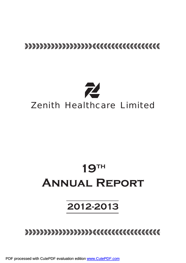# bbbbbbbbbbbbbbbbbbcccccccccccccccccc



# **19th Annual Report**

# **2012-2013**

bbbbbbbbbbbbbbbbbbcccccccccccccccccc

PDF processed with CutePDF evaluation edition [www.CutePDF.com](http://www.cutepdf.com)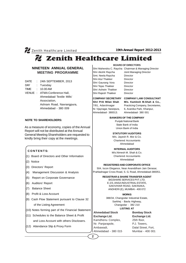# Zenith Healthcare Limited

# **NINETEEN ANNUAL GENERAL MEETING PROGRAMME**

- DATE : 24th SEPTEMBER, 2013
- DAY : Tuesday
- TIME : 10.00 AM
- VENUE : ATMA Conference Hall, Ahmedabad Textile Mills' Association, Ashram Road, Navrangpura, Ahmedabad - 380 009

# **NOTE TO SHAREHOLDERS:**

As a measure of economy, copies of the Annual Report will not be distributed at the Annual General Meeting Shareholders are requested to kindly bring their copy at the meetings.

# **C O N T E N T S:**

- (1) Board of Directors and Other Information
- (2) Notice
- (3) Directors' Report
- (4) Management Discussion & Analysis
- (5) Report on Corporate Governance
- (6) Auditors' Report
- (7) Balance Sheet
- (8) Profit & Loss Account
- (9) Cash Flow Statement pursuant to Clause 32 of the Listing Agreement
- $(10)$  Notes forming part of the Financial Statement
- (11) Schedules to the Balance Sheet & Profit and Loss Account with others Disclosers.
- (12) Attendance Slip & Proxy Form

**BOARD OF DIRECTORS**

Shri Mahendra C. Raycha Chairman & Managing Director Shri Akshit Raycha Joint Managing Director Smt. Neela Raycha Director Shri Atul Thakker Director Shri Gaurang Vora Director Shri Tejas Thakker Director Shri Ashwin Thakker Director Shri Rajesh Thakker Director

# **COMPANY SECRETARY COMPANY LAW CONSULTANT**

**Shri Priti Milan Shah M/s. Kamlesh M.Shah & Co.,** 7/81, Adarshnagar Practicing Company, Secretaries, Nr. Vijaynagar, Naranpura, 6, Avanika Park, Khanpur, Ahmedabad- 380013. Ahmedabad- 380 001

# **BANKERS OF THE COMPANY**

Punjab National Bank State Bank of India Union Bank of India

# **STATUTORY AUDITORS**

M/s. Jayesh R. Mor & Co. Chartered Accountants Ahmedabad

# **INTERNAL AUDITORS**

M/s.Nimesh M. Shah & Co. Chartered Accountants Ahmedabad

# **REGISTERED AND CORPORATE OFFICE**

504, Iscon Elegance, Near Ananddham Jain Derasar, Prahladnagar Cross Road, S. G. Road, Ahmedabad-380051.

# **REGISTRAR & SHARE TRANSFER AGENT**

BIGSHARE SERVICES PVT. LTD. E-2/3, ANSA INDUSTRIAL ESTATE, SAKIVIHAR ROAD, SAKINAKA, ANDHERI (E), MUMBAI - 400 072

# **WORKS**

388/34, Changodar Industrial Estate, Sarkhej - Bavla Highway, Changodar - 382 210 **LISTING AT**

# **Ahmedabad Stock**

**Exchange Ltd.** Kamdhenu Complex, Nr. Panjarapole, Ambawadi, Ahmedabad - 380 015

**2**

**Bombay Stock Exchange Ltd.** 25th floor, P.J. Towers, Dalal Street, Fort, Mumbai - 400 001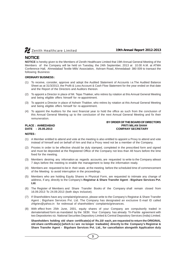

# **NOTICE**

**NOTICE** is hereby given to the Members of Zenith Healthcare Limited that 19th Annual General Meeting of the Members of the Company will be held on Tuesday, the 24th September, 2013 at 10.00 A.M. at ATMA Conference Hall, Ahmedabad Textile Mills' Association, Ashram Road, Ahmedabad- 380 009 to transact the following Business:

# **ORDINARY BUSINESS :**

- (1) To receive, consider, approve and adopt the Audited Statement of Accounts i.e.The Audited Balance Sheet as at 31/3/2013, the Profit & Loss Account & Cash Flow Statement for the year ended on that date and the Report of the Directors and Auditors thereon.
- (2) To appoint a Director in place of Mr. Tejas Thakker, who retires by rotation at this Annual General Meeting and being eligible offers himself for re-appointment.
- (3) To appoint a Director in place of Ashwin Thakker, who retires by rotation at this Annual General Meeting and being eligible offers himself for re-appointment.
- (4) To appoint the Auditors for the next financial year to hold the office as such from the conclusion of this Annual General Meeting up to the conclusion of the next Annual General Meeting and fix their remuneration.

# **BY ORDER OF THE BOARD OF DIRECTORS PLACE : AHMEDABAD PRITI MILAN SHAH DATE : 25.05.2013 COMPANY SECRETARY**

# **NOTES :**

- (1) A Member entitled to attend and vote at the meeting is also entitled to appoint a Proxy to attend and vote instead of himself and on behalf of him and that a Proxy need not be a member of the Company.
- (2) Proxies in order to be effective should be duly stamped, completed in the prescribed form and signed and must be deposited at the Registered Office of the Company not less than 48 hours before the time fixed for the meeting.
- (3) Members desiring any infornation as regards accounts, are requested to write to the Company atleast 7 days before the meeting to enable the management to keep the information ready.
- (4) Members are requested to be in their seats at the meeting before the scheduled time of commencement of the Meeting to avoid interruption in the proceedings.
- (5) Members who are holding Equity Shares in Physical Form, are requested to intimate any change of address, if any, directly to the Company's **Registrar & Share Transfer Agent - Bigshare Services Pvt. Ltd.**
- (6) The Register of Members and Share Transfer Books of the Company shall remain closed from 16.09.2013 To 24.09.2013 (both days inclusive).
- (7) If Shareholders have any complaint/grievance, please write to the Company's Registrar & Share Transfer Agent ; Bigshare Services Pvt. Ltd. The Company has designated an exclusive E-mail ID called zhlgriev@yahoo.in for redressal of shareholders' complaints/grievances.
- (8) With effect from 25th June, 2001, equity shares of your Company are compulsorily traded in dematerialised form as mandated by the SEBI. Your Company has already Tri-Partite agreement with two Depositories viz. National Securities Depository Limited & Central Depository Services (India) Limited.

**Shareholders holding old share certificate(s) of Rs.10/- each, are requested to return the ORIGINAL old share certificate(s) [which is / are no longer tradeable] directly to the Company's Registrar & Share Transfer Agent - Bigshare Services Pvt. Ltd., for cancellation alongwith Application duly**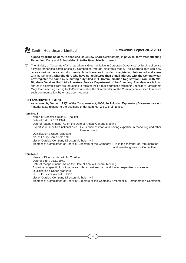**signed by all the holders, to enable to issue New Share Certificate(s) in physical form after effecting Reduction, if any, and Sub-division in to Re.1/- each in lieu thereof.**

(9) The Ministry of Corporate Affairs has taken a 'Green initiative in Corporate Goverance' by issuing circulars allowing paperless compliances by Companies through electronic mode. The Shareholders can now receive various notice and documents through electronic mode by registering their e-mail addresses with the Company. **Shareholders who have not registered their e-mail address with the Company can now register the same by sumitting duly filled-in 'E-Communication Registration From' with M/s. Bigshare Services Pvt. Ltd.,/ Investors Service Department of the Company.** The Members holding shares in electronic from are requested to register their e-mail addresses with their Depository Participants Only. Even after registering for E-Communication the Shareholders of the Company are entitled to receive such communication by email, upon request.

# **EXPLANATORY STATEMENT**

As required by Section 173(2) of the Companies Act, 1956, the following Explanatory Statement sets out material facts relating to the business under item No. 2,3 & 5 of Notice.

# **Item No. 2**

Name of Director : Tejas D. Thakker Date of Birth : 20.09.1974 Date of reappointment : As on the Date of Annual General Meeting Expertise in specific functional area : He is businessman and having expertise in marketing and other Liassion work

Qualification : Under graduate No. of Equity Shres held : Nil List of Outside Company Directorship held : Nil Member of Committees of Board of Directors of the Company : He is the member of Remuneration and Investor grievance Committee

# **Item No. 3**

Name of Director : Ashwin M. Thakker Date of Birth : 02.11.1971 Date of reappointment : As on the Date of Annual General Meeting Expertise in specific functional area : He is businessman and having expertise in marketing Qualification : Under graduate No. of Equity Shres held : 4500 List of Outside Company Directorship held : Nil Member of Committees of Board of Directors of the Company : Member of Remuneration Committee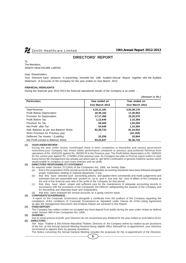

*(Amount in Rs.)*

# **DIRECTORS' REPORT**

To, The Members, ZENITH HEALTHCARE LIMITED

### Dear Shareholders,

Your Directors have pleasure in presenting herewith the 19th Audited Annual Report together with the Audited Statement of Accounts of the Company for the year ended on 31st March, 2013.

## **FINANCIAL HIGHLIGHTS**

During the financial year 2012-2013 the financial operational results of the Company is as under :

| <b>Particulars</b>                     | Year ended on   | Year ended on   |
|----------------------------------------|-----------------|-----------------|
|                                        | 31st March 2013 | 31st March 2012 |
| <b>Total Revenue</b>                   | 4,33,11,181     | 3,93,39,176     |
| <b>Profit Before Depreciation</b>      | 18,30,102       | 17.40.954       |
| Provision for Depreciation             | 17,17,456       | 15,25,570       |
| Profit Before Tax                      | 1,12,646        | 2,15,384        |
| Provision for Tax                      | 58,000          | 1,05,000        |
| Net Profit after Tax                   | 54,646          | 1,10,384        |
| Add: Balance as per last Balance Sheet | 92,36,733       | 91,24,554       |
| Short Provision for Previous year      |                 | (32, 169)       |
| Defferred Tax Assets / (Liability)     | 32,258          | 33.964          |
| Net Profit carried to Balance Sheet    | 93,23,637       | 92,36,733       |

# **(1) YEAR UNDER REVIEW :**

During the year under review, eventhoguh there is keen compettion in themarket and various government restrictions,your Company has shown better performance compared to previous year,achieved Revenue from operations of Rs. 43311181 against Rs. 39339176 in the Previous year. The Profit before depreciation is Rs. 1830102 for the current year against Rs. 1740954 of the previous year. As Company has plan to Procure export orders in near future,hence the management has already put action plan to get WHO Certification in general medicine section which would enable to company to earn more revenue and net profit.

#### **(2) DIRECTORS' RESPONSIBILITY STATEMENT :**

- As required under Section 217(2AA) of the Companies Act, 1956, we hereby State :
- (a) that in the preparation of the annual accounts,the applicable accounting standards have been followed alongwith proper explanation relating to material departures, it any :
- (b) that they have selected such accounting policies and applied them consistently and made judgements and estimates that are reasonable and prudent so as to give a true and fair view of affairs of the Company at the end of the financial year and of the profit of the Company for that period;
- (c) that they have taken proper and sufficient care for the maintenance of adequate accounting records in accordance with the provisions of the Companies Act,1956,for safeguarding the assests of the Company and for preventing and detecting fraud and irregularities;
	- that they have prepared the annual accounts on a going concern basis.

#### **(3) CORPORATE GOVERNANCE :**

 A report on the Corporate Governance alongwith a certificate from the auditors of the Company regarding the compliance of the conditions of Corporate Governance as stipulated under Clause 49 of the Listing Agreement as also the management Discussion and Analysis Report are annexed to this Report.

# **(4) FIXED DEPOSIT :**

The Company has neither invited nor accepted any fixed deposit from public during the year under review as defined under Section 58A of the Companies Act, 1956.

# **(5) DIVIDEND :**

Due to small amount of profit ,your Directors do not recommend any dividend for the year ended on 31st March,2013. **(6) DIRECTORS :**

Shri Tejas Thakker & Shri Ashwin Manubhai Thakker, Directors of the Company retires by rotation as per provisions of the Act at this Annual General Meeting.However,being eligible offers themself for re-appointment, your Directors recommend to appoint them by passing resolutions.

The Notice convening the Annual General Meeting includes the proposals for the re-appointment of the Directors.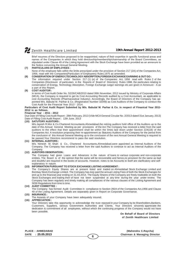Brief resumes of the Directors proposed to be reappointed, nature of their expertise in specific functional areas and names of the Companies in which they hold directorship/membership/chairmanship of the Board Committees, as stipulated under Clause 49 of the Listing Agreement with the Stock Exchange have been provided as an annexure to the Notice convening the Annual General Meeting.

### **(7) PARTICULARS OF EMPLOYEES :**

None of the employee falls within the limits prescriped under the provision of Section 217 (2A) of the Companies Act, 1956, read with the Companies(Particulars of Employees) Rules, 1975 as amended.

# **(8) CONSERVATION OF ENERGY,TECHNOLOGY ABSORPTION,FOREIGN EXCHANGE EARINING & OUT GO :**

The information required under Section 217 (1) (e) of the Companies Act, 1956 read with Rules 2 of the Companies (Disclosure of particulars in the Reports of Board of Directors) Rules 1988, the particulars relating to conservation of Energy, Technology Absorption, Foreign Exchange outgo/ earnings etc.are given in Annexure - A as a part of this Report.

# **(9) COST AUDITOR :**

In terms of Cost Audit Order No. 52/26/CAB/2010 dated 06th November, 2012 issued by Ministry of Corporate Affairs (MCA), the Company is required to get its Cost Accounting Records audited by a Cost Accountant, as applicable to cost Accounting Records (Pharmaceutical Industry). Accordingly, the Board of Directors of the Company has appointed M/s. Babulal M. Parihar & Co. (Registration Number 32049) as Cost Auditors of the Company to conduct the Cost Audit for the Financial Year 2013 - 2014.

### **Particulars of Cost Audit Report Submited by M/s. Babulal M. Parhar & Co. in respect of Finanical Year 2011- 2012 is as follows.**

# **Financial Year : 2011 - 2012**

Due Date of Filling Cost Audit Report : 28th February, 2013 (Vide MCA General Circular No. 2/2013 dated 31st January, 2013) Date of Filling Cost Audit Report : 12th June, 2013

## **(10) SATUTORY AUDITORS :**

M/s.Jayesh R.Mor & Co.Chartered Accountants,Ahmedabad,the retiring auditors hold office of the Auditors up to the date of this Annual General Meeting as per provisions of the Act.The Company has received a letter from the said auditors to the effect that their appointment shall be within the limits laid down under Section 224(1B) of the Companies Act. A resolution proposing their re-appointment as Statutory Auditors of the Company for the period from the conclusion of this Annual General Meeting up to the conclusion of the next Annual General Meeting is required to be passed.Your Directors recommend to pass the said resolution.

## **(11) INTERNAL AUDITORS :**

M/s. Nimesh M. Shah & Co., Chartered Accountants,Ahmedabad,were appointed as Internal Auditors of the Company. The Company has received a letter from the said Auditors to continue to act as Internal Auditors of the Company.

## **(12) AUDITORS OBSERVATION :**

The Company had given Loans and Advances in the nature of loans to various corporate and non-corporate entities. The Board is of the opinion that the same will be recoverable and hence,no provision for the same as bad and doubtful are required in the books of accounts. However, notes to be Accounts to itself are clarificatory and selfexplanatory in nature.

# **(13) INFORMATION PURSUANT TO STOCK EXCHANGE LISITING AGREEMENT :**

The Company's Equity Shares are at present listed and traded on Ahmedabad Stock Exchange Limited and Bombay Stock Exchange Limited. The Company has duly paid the annual Listing Fees of both the Stock Exchanges for and up to the financial year ending on 31.03.2014. The Equity Shares of the Company are freely tradeable on both the Stock Exchanges and trading their of have not been suspended at any time during the year under review. The Company has been regularly and timely making all compliances of the various clauses of the Lisiting Agreement and SEBI Regulations from time to time.

## **(14) AUDIT COMMITTEE :**

The Company has formed Audit Committee in compliance to Section 292A of the Companies Act,1956 and Clause 49 of the Listing Agreement. Details are separately given in Report on Corporate Governance.

# **(15) INSURANCE :**

The Assests of your Company have been adequately insured.

# **(16) APPRECIATION :**

Your Directors take this opportunity to acknowledge the trust reposed in your Company by its Shareholders, Bankers, Customers, Suppliers, various Government Authorities and Clients. Your Directors sincerely appreciate the dedication & commitment of all employees, without which the continuing progress of the Company would not have been possible.

**On Behalf of Board of Directors of Zenith Healthcare Limited**

**PLACE : AHMEDABAD (Mahendra C.Raycha)**

**DATE : 25.05.2013 Chairman & Managing Director**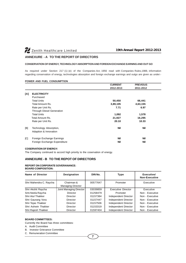# **ANNEXURE - A TO THE REPORT OF DIRECTORS**

# **CONSERVATION OF ENERGY, TECHNOLOGY ABSORPTION AND FOREIGN EXCHANGE EARNING AND OUT GO**

As required under Section 217 (1) (e) of the Companies Act, 1956 read with Companies Rules,1988, information regarding conservation of energy, technologies absorption and foreign exchange earnings and outgo are given as under:-

# **POWER AND FUEL CONSUMPTION**

|     |                                  | <b>CURRENT</b> | <b>PREVIOUS</b> |  |
|-----|----------------------------------|----------------|-----------------|--|
|     |                                  | 2012-2013      | 2011-2012       |  |
| [A] | <b>ELECTRICITY</b>               |                |                 |  |
|     | Purchased                        |                |                 |  |
|     | <b>Total Units</b>               | 50,450         | 66,441          |  |
|     | Total Amount Rs.                 | 3,89,105       | 4,63,155        |  |
|     | Rate per Unit Rs.                | 7.71           | 6.97            |  |
|     | <b>Through Diesel Generation</b> |                |                 |  |
|     | <b>Total Units</b>               | 1,092          | 1,578           |  |
|     | Total Amount Rs.                 | 21,927         | 16,295          |  |
|     | Rate per Unit Rs.                | 20.10          | 10.33           |  |
| B   | Technology Absorption,           | <b>Nil</b>     | <b>Nil</b>      |  |
|     | Adaption & Innovation            |                |                 |  |
| [C] | Foreign Exchange Earnings        | Nil            | <b>Nil</b>      |  |
|     | Foreign Exchange Expenditure     | Nil            | <b>Nil</b>      |  |

# **COSERVATION OF ENERGY:**

The Company continued to accord high priority to the coservation of energy.

# **ANNEXURE - B TO THE REPOT OF DIRECTORS**

### **REPORT ON CORPORATE GOVERANANCE: BOARD COMPOSITION:**

| Name of Director        | <b>Designation</b>                     | DIN No.  | <b>Type</b>          | Executive/<br><b>Non-Executive</b> |
|-------------------------|----------------------------------------|----------|----------------------|------------------------------------|
| Shri Mahendra C. Raycha | Chairman &<br><b>Managing Director</b> | 00577647 | Promoter             | Executive                          |
| Shri Akshit Raycha      | Joint Managing Director                | 03039859 | Executive Director   | Executive                          |
| Smt.Neela Raycha        | Director                               | 01258479 | Promoter             | Non - Executive                    |
| Shri Atul Thakker       | Director                               | 01157384 | Independent Director | Non - Executive                    |
| Shri Gaurang Vora       | Director                               | 01157447 | Independent Director | Non - Executive                    |
| Shri Tejas Thakker      | Director                               | 01157506 | Independent Director | Non - Executive                    |
| Shri Ashwin Thakker     | Director                               | 01153319 | Independent Director | Non - Executive                    |
| Shri Rajesh Thakker     | Director                               | 01597404 | Independent Director | Non - Executive                    |

# **BOARD COMMITTEES:**

Currently the Board has three committees:

A. Audit Committee

B. Investor Grievance Committee

C. Remuneration Committee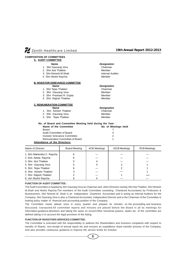

# **COMPOSITION OF COMMITTEES A. AUDIT COMMITTEE**

# *Name Designation*

- 
- 1. Shri Gaurang Vora **Chairman**<br>2. Shri Atul Thakker Chairman Nember 2. Shri Atul Thakker
- 
- 4. Shri Akshit Raycha Member

# **B. INVESTOR GRIEVANCE COMMITTEE**

|  |  | Name |  |  |
|--|--|------|--|--|
|  |  |      |  |  |

- 1. Shri Tejas Thakker Chairman
- 2. Shri Gaurang Vora **Member**
- 3. Shri Prashant R. Gupta Member<br>4. Shri Rajesh Thakker Member
- 4. Shri Rajesh Thakker

# **C. REMUNERATION COMMITTEE**

- 
- 1. Shri Ashwin Thakker Chairman
- 2. Shri Gaurang Vora **Member**
- 3. Shri Tejas Thakker Member
- **No. of Board and Committee Meeting held during the Year: Name of the Committee No. of Meetings held** Board 7 and 7 and 7 and 7 and 7 and 7 and 7 and 7 and 7 and 7 and 7 and 7 and 7 and 7 and 7 and 7 and 7 and 7 Audit Committee of Board 4 Investor Grievance Committee 2 Remuneration Committee of Board 1

# **Attendance of the Directors:**

| Name of Director           | Board Meeting | <b>ACB Meetings</b> | <b>IGCB Meetings</b> | <b>RCB Meetings</b> |
|----------------------------|---------------|---------------------|----------------------|---------------------|
| 1. Shri Mahendra C. Raycha | 6             |                     |                      |                     |
| 2. Smt. Neela Raycha       |               |                     |                      |                     |
| 3. Shri Atul Thakker       |               |                     |                      |                     |
| 4. Shri Gaurang Vora       |               |                     |                      |                     |
| 5. Shri Tejas Thakker      |               |                     |                      |                     |
| 6. Shri Ashwin Thakker     |               |                     |                      |                     |
| 7. Shri Rajesh Thakker     |               |                     |                      |                     |
| 8. shri Akshit Raycha      |               |                     |                      |                     |

# **FUNCTION OF AUDIT COMMITTEE :**

The Audit Committee is headed by Shri Gaurang Vora as Chairman and other Directors namely Shri Atul Thakker, Shri Nimesh M.Shah and Akshit Raycha.The members of the Audit Committee consisting Chartered Accountants by Profession & Businessmen. Shri Nimesh M. Shah is an independent Chartered Accountant and is acting as Internal Auditors for the Company. Shri Gaurang Vora is also a Chartered Accountant, Independent Director and is the Chairman of the Committee is looking policy matter of financial and accounting position of the Company.

The Committee meets atleast once in every quarter and prepare its minutes on the proceeding and business discussed, transacted.All committee reports and minutes are placed before the Board in all its meetings for information,guidance,directions and taking the same on record.Other functional powers, duties etc. of the committee are defined taking in to account the legal provision of the listing.

# **FUNCTION OF INVESTORS SERVICES COMMITTEE:**

The Committee is entrusted with the responsibility to address the Shareholders and investors complaints with respect to transfer of Shares, non-receipt of annual report etc and ensures an expeditious share transfer process of the Company, And also provides continuous guidance to improve the service levels for investor.

**8**

3. Shri Nimesh M.Shah Internal Auditor

# *Name Designation*

# *Name Designation*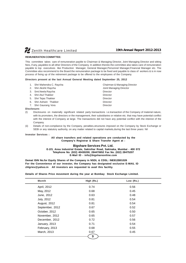### **REMUNERATION COMMITTEE:**

This committee takes care of remuneration payble to Chairman & Managing Director, Joint Managing Director and sitting fees, if any, payables to all other Directors of the Company. In addition thereto the committee also takes care of remuneration payable to top executives like Production Manager, General Manager, Personnel Manager, Financial Manager etc. The Committee also recommend to the Board the remuneration package to be fixed and payable to class of workers & is in now process of fixing up of the retirement package to be offered to the employees of the Company.

#### **Directors present at the last Annual General Meeting dated September 25, 2012**

|    | 1. Shri Mahendra C. Raycha | Chairman & Managing Director |
|----|----------------------------|------------------------------|
|    | 2. Shri Akshit Raycha      | Joint Managing Director      |
|    | 3. Smt. Neela Raycha       | Director                     |
| 4. | Shri Atul Thakker          | Director                     |
|    | 5. Shri Tejas Thakker      | Director                     |
| 6. | Shri Ashwin Thakker        | Director                     |
|    | 7. Shri Gaurang Vora       | <b>Director</b>              |

### **Disclosure:**

- (I) Disclosures on materially significant related party transactions i.e.transaction of the Company of material nature, with its promoters, the directors or the management, their subsidiaries or relative etc. that may have potential conflict with the interest of Company at large. The transactions did not have any potential conflict with the interest of the Company.
- (ii) Details of non-compliance by the Company, penalties,structures imposed on the Company by Stock Exchange or SEBI or any statutory authority, on any matter related to capital markets, during the last three years: Nil

#### **Investor Services :**

# **All share transfers and related operations are conducted by the Company's Registrar & Share Transfer Agent at :**

# **Bigshare Services Pvt. Ltd.**

**E-2/3, Ansa Industrial Estate, Sakivihar Road, Sakinaka, Mumbai - 400 072 Telephone No. (022) 40430200, 284470652 Fax No. (022) 28475207 E-Mail ID - info@bigshareonline.com**

**Demat ISIN No.for Equity Shares of the Company in NSDL & CDSL: INE812B01026 For the Convenience of our investor, the Company has designated exclusive E-MAIL ID zhlgriev@yahoo.in All investors are requested to avail this facility.**

**Details of Shares Price movement during the year at Bombay Stock Exchange Limited.**

| 0.74<br>0.68<br>0.63<br>0.81<br>0.81<br>0.67 | 0.56<br>0.45<br>0.48<br>0.54<br>0.54<br>0.52 |
|----------------------------------------------|----------------------------------------------|
|                                              |                                              |
|                                              |                                              |
|                                              |                                              |
|                                              |                                              |
|                                              |                                              |
|                                              |                                              |
| 0.65                                         | 0.50                                         |
| 0.65                                         | 0.57                                         |
| 0.72                                         | 0.56                                         |
| 0.71                                         | 0.54                                         |
| 0.68                                         | 0.55                                         |
| 0.67                                         | 0.45                                         |
|                                              | 9                                            |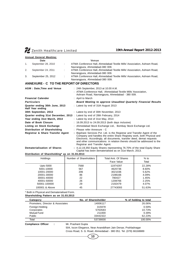|  | <b>Annual General Meeting:</b> |  |
|--|--------------------------------|--|
|  |                                |  |

|    | Date                                               |   | Venue                                                                                                                                                   |
|----|----------------------------------------------------|---|---------------------------------------------------------------------------------------------------------------------------------------------------------|
| 1. | September 28, 2010                                 | ÷ | ATMA Conference Hall, Ahmedabad Textile Mills' Association, Ashram Road,<br>Navrangpura, Ahmedabad-380 009.                                             |
| 2. | September 24, 2011                                 |   | ATMA Conference Hall, Ahmedabad Textile Mills' Association, Ashram Road,<br>Navrangpura, Ahmedabad-380 009.                                             |
| 3. | September 25, 2012                                 |   | ATMA Conference Hall, Ahmedabad Textile Mills' Association, Ashram Road,<br>Navrangpura, Ahmedabad-380 009.                                             |
|    | ANNEXURE - C TO THE REPORT OF DIRECTORS            |   |                                                                                                                                                         |
|    | <b>AGM</b> : Date, Time and Venue                  |   | : 24th September, 2013 at 10.00 A.M.<br>: ATMA Conference Hall, Ahmedabad Textile Mills' Association,<br>Ashram Road, Navrangpura, Ahmedabad - 380 009. |
|    | <b>Financial Calender</b>                          |   | : April to March                                                                                                                                        |
|    | <b>Particulars</b>                                 |   | <b>Board Meeting to approve Unaudited Quarterly Financial Results</b>                                                                                   |
|    | Quarter ending 30th June, 2013<br>Half Year ending |   | : Latest by end of 31th August 2013                                                                                                                     |
|    | 30th September, 2013                               |   | : Latest by end of 30th November, 2013                                                                                                                  |
|    |                                                    |   | Quarter ending 31st December, 2013: Latest by end of 28th February, 2014                                                                                |
|    | Year ending 31st March, 2014                       |   | : Latest by end of 31st May, 2014                                                                                                                       |
|    | Date of Book Closure                               |   | : 16.09.2013 to 24.09.2013 (both days inclusive)                                                                                                        |
|    | Listing on Stock Exchange                          |   | : Ahmedabad Stock Exchange Ltd., Bombay Stock Exchange Ltd.                                                                                             |
|    | Distribution of Shareholding                       |   | : Please refer Annexure - C                                                                                                                             |
|    | Registrar & Share Transfer Agent                   |   | : Bigshare Services Pvt. Ltd. is the Registrar and Transfer Agent of the<br>Company and handles the entire Share Registey work, both Physical and       |

Registrar and Transfer Agent. **Dematerialisation of Shares :** 4,12,19,350 Equity Shares representing 76.70% of the total Equity Share Capital has been dematerialised as on 31st March, 2013.

Electronic. Accordingly, all documents, transfer deed, demat requests and other communications in relation thereto should be addressed to the

# **Distribution of Shareholding\* as on 31.03.2013**

| Holdings                  | Number of Shareholders | Total Amt. Of Shares<br>Face Value | $%$ to<br>Total |
|---------------------------|------------------------|------------------------------------|-----------------|
| Upto 5000                 | 7568                   | 11974297                           | 22.28%          |
| 5001-10000<br>10001-20000 | 567<br>206             | 4620736<br>3021036                 | 8.60%<br>5.62%  |
| 20001-30000               | 86                     | 2198166                            | 4.09%           |
| 30001-40000               | 22                     | 780427                             | 1.45%           |
| 40001-50000               | 26                     | 1208766                            | 2.25%           |
| 50001-100000              | 29                     | 2192479                            | 4.07%           |
| 100001 & Above            | 45                     | 27743093                           | 51.63%          |

\* Both in Physical and Dematerialised Form.

## **Shareholding Pattern as on 31.03.2013**

| Category                         | No. of Sharesholder | % of holding to total |
|----------------------------------|---------------------|-----------------------|
| Promoters, Director & Associates | 14006117            | 26.06%                |
| Foreign Holding                  | 315978              | 0.59%                 |
| Corporates                       | 5763583             | 10.73%                |
| Mutual Fund                      | 211000              | 0.39%                 |
| <b>Public</b>                    | 33442322            | 62.23%                |
| Total                            | 53739000            | 100.00%               |

**Compliance Officer : Mr. Prashant Gupta** 

504, Iscon Elegance, Near Ananddham Jain Dersar, Prahladnagar

Cross Road, S. G. Road, Ahmedabad - 380 051. Tel. (079) 66168889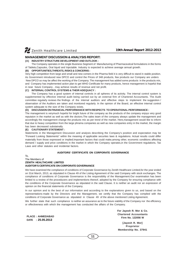# **MANAGEMENT DISCUSSION & ANALYSIS REPORT:**

# **(A) INDUSTRY STRUCTURE DEVELOPMENT AND OUTLOOK :**

The Company operates in the single Business Segment of Manufacturing of Pharmaceutical formulations in the forms of Tablets,Capsules, Oral liquid and Injectable. Industry is expected to achieve average annual growth.

# **(B) OPPORTUNITIES,THREATS, RISKS & CONCERNS :**

Very high competition from large and small and new comers in the Pharma field it is very difficult to stand in stable position. As Government introduced new DPCO and control the Prices of 348 products, few products our Company are unders New DPCO so may be affect the working of the Company. The management has added some products in the products mix, and Company has implemented action plan to get WHO Certificate for many products, hence management is hopeful that in near future Company , may achieve results of revenue and net profit.

# **(C) INTERNAL CONTROL SYSTEMS & THEIR ADEQUACY :**

The Company has a good system of internal controls in all spheres of its activity. The internal control system is supplemented by effective internal audit being carried out by an external firm of Chartered Accountants. The Audit committee regularly reviews the findings of the internal auditors and effective steps to implement the suggestion / observation of the Auditors are taken and monitored regularly. In the opinion of the Board, an effective internal control system adequate to the size of the Company exists.

# **(D) DISCUSSION ON FINANCIAL PERFORMANCE WITH RESPECTS TO OPERATIONAL PERFORMANCE :**

The management is verymuch hopeful for bright future of the company as the products of the company enjoys very good reputaion in the market as well as with the doctors.The sales team of the company always update the management and accordingly the management change the products mix as per trend of the market. Here,management would like to inform that due to heavy competition from the large phrama companies as well as new companies entry in the market, the margin has been decreased substainally.

# **(E) CAUTIONARY STATEMENT :**

Statements in the Management Discussion and analysis describing the Company's position and expectation may be "Forward Looking Statements" within the meaning of applicable securites laws & regulations. Actual results could differ materially from those expressed or implied.Important factors that could make,among other, economic conditions affecting demand / supply and price conditions in the market in which the Company operates,in the Government regulations, Tax Laws and other statutes and incidental factors.

# **AUDITORS' CERTIFICATE ON CORPORATE GOVERNANCE**

To,

### The Members of **ZENITH HEALTHCARE LIMITED**

# **AUDITOR'S CERTIFICATE ON CORPORATE GOVERNANCE**

We have examined the compliance of conditions of Corporate Governance by Zenith Healthcare Limited,for the year ended on 31st March, 2013, as stipulated in Clause 49 of the Listing Agreement of the said Company with stock exchanges. The compliance of conditions of Corporate Governance is the responsiblity of the Management.Our examination has been limited to a review of the proceducers and implementions thereof, adopted by the Company for ensuring compliance with the conditions of the Corporate Governance as stipulated in the said Clause. It is neither an audit nor an expression of opinion on the financial statements of the Company.

In our opinion and to the best of our information and according to the explanations given to us, and based on the representations made by the Directors and the Management, we certify that the Company has complied with the conditions of Corporate Governance as stipulated in Clause 49 of the above mentioned Listing Agreement.

We further state that such compliance is neither an assurance as to the future viability of the Company nor the efficiency or effectiveness with which the management has conducted the affairs of the Company.

**PLACE : AHMEDABAD DATE : 25.05.2013**

**For Jayesh R. Mor & Co. Chartered Accountants Firm No. 122056 W**

**[Jayesh R. Mor] Proprietor Membership No. 37941**

**11**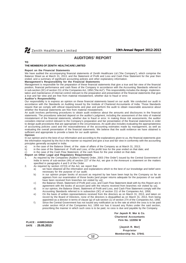# **AUDITORS' REPORT**

**TO**

# **THE MEMBERS OF ZENITH HEALTHCARE LIMITED**

#### **Report on the Financial Statements**

We have audited the accompanying financial statements of Zenith Healthcare Ltd ("the Company"), which comprise the Balance Sheet as at March 31, 2013, and the Statement of Profit and Loss and Cash Flow Statement for the year then ended, and a summary of significant accounting policies and other explanatory information.

# **Management's Responsibility for the Financial Statements**

Management is responsible for the preparation of these financial statements that give a true and fair view of the financial position, financial performance and cash flows of the Company in accordance with the Accounting Standards referred to in sub-section (3C) of section 211 of the Companies Act, 1956 ("the Act"). This responsibility includes the design, implementation and maintenance of internal control relevant to the preparation and presentation of the financial statements that give a true and fair view and are free from material misstatement, whether due to fraud or error.

#### **Auditor's Responsibility**

**PLACE : AHMEDABAD DATE : 25.05.2013**

Our responsibility is to express an opinion on these financial statements based on our audit. We conducted our audit in accordance with the Standards on Auditing issued by the Institute of Chartered Accountants of India. Those Standards require that we comply with ethical requirements and plan and perform the audit to obtain reasonable assurance about whether the financial statements are free from material misstatement.

An audit involves performing procedures to obtain audit evidence about the amounts and disclosures in the financial statements. The procedures selected depend on the auditor's judgment, including the assessment of the risks of material misstatement of the financial statements, whether due to fraud or error. In making those risk assessments, the auditor considers internal control relevant to the Company's preparation and fair presentation of the financial statements in order to design audit procedures that are appropriate in the circumstances. An audit also includes evaluating the appropriateness of accounting policies used and the reasonableness of the accounting estimates made by management, as well as evaluating the overall presentation of the financial statements. We believe that the audit evidence we have obtained is sufficient and appropriate to provide a basis for our audit opinion.

#### **Opinion**

In our opinion and to the best of our information and according to the explanations given to us, the financial statements give the information required by the Act in the manner so required and give a true and fair view in conformity with the accounting principles generally accepted in India:

- a) in the case of the Balance Sheet, of the state of affairs of the Company as at March 31, 2013;
- b) in the case of the Statement of Profit and Loss, of the profit/ loss for the year ended on that date; and
- c) in the case of the Cash Flow Statement, of the cash flows for the year ended on that date.

#### **Report on Other Legal and Regulatory Requirements**

- 1. As required by the Companies (Auditor's Report) Order, 2003 ("the Order") issued by the Central Government of India in terms of sub-section (4A) of section 227 of the Act, we give in the Annexure a statement on the matters specified in paragraphs 4 and 5 of the Order.
- 2. As required by section 227(3) of the Act, we report that:
	- a) we have obtained all the information and explanations which to the best of our knowledge and belief were necessary for the purpose of our audit;
	- b) in our opinion proper books of account as required by law have been kept by the Company so far as appears from our examination of those books [and proper returns adequate for the purposes of our audit have been received from branches not visited by us];
	- c) the Balance Sheet, Statement of Profit and Loss, and Cash Flow Statement dealt with by this Report are in agreement with the books of account [and with the returns received from branches not visited by us];
	- d) in our opinion, the Balance Sheet, Statement of Profit and Loss, and Cash Flow Statement comply with the Accounting Standards referred to in subsection (3C) of section 211 of the Companies Act, 1956;
	- e) On the basis of written representations received from the directors as on March 31, 2013, and taken on record by the Board of Directors, none of the directors is disqualified as on March 31, 2013, from being appointed as a director in terms of clause (g) of sub-section (1) of section 274 of the Companies Act, 1956.
	- f ) Since the Central Government has not issued any notification as to the rate at which the cess is to be paid under section 441A of the Companies Act, 1956 nor has it issued any Rules under the said section, prescribing the manner in which such cess is to be paid, no cess is due and payable by the Company.

**For Jayesh R. Mor & Co. Chartered Accountants Firm No. 122056 W**

> **[Jayesh R. Mor] Proprietor Membership No. 37941**

**12**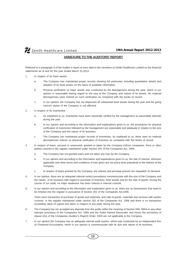# **ANNEXURE TO THE AUDITORS' REPORT**

Referred to in paragraph 3 of the Auditor's report of even date to the members of Zenith Healthcare Limited on the financial statements as of and for the year ended March 31,2013.

- 1. In respect of its fixed assets;
	- a. The Company has maintained proper records showing full particulars including quantitative details and situation of its fixed assets on the basis of available information;
	- b. Physical verification of major assets was conducted by the Management during the year, which in our opinion is reasonable having regard to the size of the Company and nature of its assets. No material discrepancies were noticed on such verification as compared with the books of record.,
	- c. In our opinion, the Company has not dispossed off substantial fixed assets during the year and the going concern status of the Company is not affected.
- 2. In respect of its inventories;
	- a. As explained to us, inventories have been physically verified by the management at reasonable intervals during the year.
	- b. In our opinion and according to the information and explanations given to us, the procedures for physical verification of inventories followed by the management are reasonable and adequate in relation to the size of the Company and the nature of its business.
	- c. The Company has maintained proper records of inventories. As explained to us, there were no material discrepancies noticed on physical verification of inventory as compared with the books of record.
- 3. In respect of loans, secured or unsecured, granted or taken by the Company to/from companies, firms or other parties covered in the register maintained under Section 301 of the Companies Act, 1956.
	- a. The Company has not granted loans and not taken any loan by the Company.
	- b. In our opinion and according to the information and explanations given to us, the rate of interest, wherever applicable and other terms and conditions of loan given are not prima facie prejudicial to the interest of the Company.
	- c. In respect of loans granted by the Company, the interest and principal amount are repayable on demand.
- 4. In our opinion, there are an adequate internal control procedures commensurate with the size of the Company and the nature of its business with regard to purchase of inventory, fixed assets and for the sale of goods. During the course of our audit, no major weakness has been noticed in internal controls.
- 5. In our opinion and according to the information and explanation given to us, there are no transactions that need to be entered into the register in pursuance of Section 301 of the Companies Act,1956.

There were transaction of purchase of goods and materials, and sale of goods, materials and services with parties covered in the register maintained under section 301 of the Companies Act, 1956 and there is no transaction exceeding value of rupees five lakhs in respect of any party during the year.

- 6. The Company has not accepted any deposits from the public within the meaning of Section 58A, 58AA or any other relevant provisions of the Companies Act, 1956 and the Rules framed thereunder and hence the provisions of clause 4(vi) of the Companies (Auditor's Report) Order, 2003 are not applicable to the Company.
- 7. In our opinion the Company has an adequate internal audit system, which was conducted by an independent firm of Chartered Accountants, which in our opinion is commensurate with its size and nature of its business.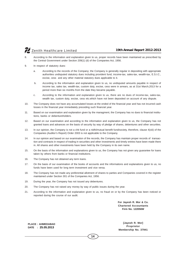- 8. According to the information and explanation given to us, proper records have been maintained as prescribed by the Central Government under Section 209(1) (d) of the Companies Act, 1956.
- 9. In respect of statutory dues:
	- a. According to the records of the Company; the Company is generally regular in depositing with appropriate authorities undisputed statutory dues including provident fund, income-tax, sales-tax, wealth-tax, E.S.I.C., excise, cess and any other material statutory dues applicable to it.
	- b. According to the information and explanation given to us, no undisputed amounts payable in respect of income tax, sales tax, wealth-tax, custom duty, excise, cess were in arrears, as at 31st March,2013 for a period more than six months from the date they became payable.
	- c. According to the information and explanation given to us, there are no dues of income-tax, sales-tax, wealth tax, custom duty, excise, cess etc.which have not been deposited on account of any dispute.
- 10. The Company does not have any accumulated losses at the ended of the financial year and has not incurred cash losses in the financial year immediately preceding such financial year.
- 11. Based on our examination and explanation given by the managment, the Company has no dues to financial institutions, banks or debentureholders.
- 12. Based on our examination and according to the information and explanation given to us, the Company has not granted loans and advances on the basis of security by way of pledge of shares, debentures and other securities.
- 13. In our opinion, the Company is not a chit fund or a nidhi/mutual benefit fund/society, therefore, clause 4(xiii) of the Companies (Auditor's Report) Order 2003 is not applicable to the Company.
- 14. In our opinion and based on our examination of the records, the Company has maintain proper records of transaction and contracts in respect of trading in securities and other investments and timely entries have been made there in. All shares and other investments have been held by the Company in its own name.
- 15. On the basis of the information and explanations given to us, the Company has not given any guarantee for loans taken by others from banks or financial institutions.
- 16. The Company has not obtained any term loans.
- 17. On the basis of our examination of the books of accounts and the informations and explanations given to us, no funds have been used for long term investment and vice versa.
- 18. The Company has not made any preferential allotment of shares to parties and Companies covered in the register maintained under Section 301 of the Companies Act, 1956.
- 19. During the year, the Company has not issued any debentures.
- 20. The Company has not raised any money by way of public issues during the year.
- 21. According to the information and explanation given to us, no fraud on or by the Company has been noticed or reported during the course of our audit.

**For Jayesh R. Mor & Co. Chartered Accountants Firm No. 122056W**

**PLACE : AHMEDABAD DATE : 25.05.2013**

**[Jayesh R. Mor] Proprietor Membership No. 37941**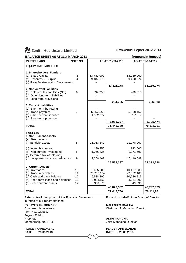| AS AT 31-03-2012<br><b>PARTICULARS</b><br><b>NOTE NO</b><br>AS AT 31-03-2013<br><b>EQUITY AND LIABILITIES</b>                   |            |
|---------------------------------------------------------------------------------------------------------------------------------|------------|
|                                                                                                                                 |            |
|                                                                                                                                 |            |
| 1. Sharesholders' Funds:                                                                                                        |            |
| (a) Share Capital<br>3<br>53,739,000<br>53,739,000                                                                              |            |
| $\overline{\mathbf{A}}$<br>(b) Reserves & Surplus<br>9,487,178<br>9,400,274                                                     |            |
| (c) Money Received Against Share Warrents                                                                                       |            |
| 63,226,178<br>63,139,274<br>2. Non-current liabilities                                                                          |            |
| (a) Deferred Tax liabilities (Net)<br>6<br>234,255<br>266,513                                                                   |            |
| (b) Other long-term liabilities                                                                                                 |            |
| (c) Long-term provisions                                                                                                        |            |
| 234,255                                                                                                                         | 266,513    |
| <b>3. Current Liabilities</b>                                                                                                   |            |
| (a) Short-term borrowing                                                                                                        |            |
| $\overline{7}$<br>(b) Trade payables<br>6,952,550<br>5,998,457<br>(c) Other current liabilities<br>1,032,777<br>707,017         |            |
| (d) Short-term provision                                                                                                        |            |
| 7,985,327                                                                                                                       | 6,705,474  |
| <b>TOTAL</b><br>71,445,760                                                                                                      | 70,111,261 |
|                                                                                                                                 |            |
| <b>II ASSETS</b>                                                                                                                |            |
| 1. Non-Current Assets                                                                                                           |            |
| (a) Fixed assets<br>5                                                                                                           |            |
| 16,053,349<br>(i) Tangible assets<br>11,078,907                                                                                 |            |
| (ii) Intangible assets<br>189,750<br>143,000                                                                                    |            |
| (b) Non-current investments<br>1,971,693<br>8<br>1,956,836                                                                      |            |
| (c) Deferred tax assets (net)                                                                                                   |            |
| 10,119,688<br>(d) Long-term loans and advances<br>9<br>7,368,462                                                                |            |
| 25,568,397<br>23,313,288                                                                                                        |            |
| 2. Current Assets                                                                                                               |            |
| (a) Inventories<br>10<br>9,655,900<br>10,407,838                                                                                |            |
| (b) Trade receivables<br>11<br>23,283,134<br>22,572,400                                                                         |            |
| (c) Cash and bank balance<br>12<br>9,538,300<br>10,236,215<br>13<br>(d) Short-term loans and advances<br>3,033,153<br>3,231,990 |            |
| 14<br>(e) Other current assets<br>366,875<br>349,530                                                                            |            |
| 45,877,362                                                                                                                      | 46,797,973 |
| <b>TOTAL</b><br>71,445,760                                                                                                      | 70,111,261 |

**15**

Refer Notes forming part of the Financial Statements For and on behalf of the Board of Director in terms of our report attached.

**for JAYESH R. MOR & CO.**<br>
Chartered Accountants<br>
Chairman & Managin Firm No.122056W **Jayesh R. Mor** Membership No.37941 **Membership No.37941** Joint Managing Director

**PLACE : AHMEDABAD PLACE : AHMEDABAD DATE : 25.05.2013 DATE : 25.05.2013**

Chairman & Managing Director

Proprietor **AKSHIT RAYCHA**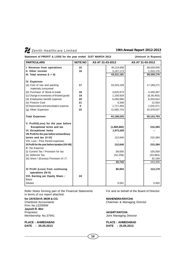# **Statement of PROFIT & LOSS for the year ended 31ST MARCH 2013 (Amount in Rupees)**

| <b>PARTICULARS</b>                                                 | <b>NOTE NO</b> | AS AT 31-03-2013 |             | AS AT 31-03-2012 |              |
|--------------------------------------------------------------------|----------------|------------------|-------------|------------------|--------------|
| I. Revenue from operations                                         | 15             |                  | 40,114,008  |                  | 38,029,000   |
| II. Other income                                                   | 16             |                  | 3,197,173   |                  | 1,310,176    |
| III. Total revenue $(I + II)$                                      |                |                  | 43,311,181  |                  | 39,339,176   |
| <b>IV. Expenses</b>                                                |                |                  |             |                  |              |
| (a) Cost of raw and packing<br>materials consumed                  | 17             |                  | 18,333,109  |                  | 17,189,271   |
| (b) Purchase of Stock-in-trade                                     | 18             |                  | 4,625,973   |                  | 4,449,497    |
| (c) Change in inventories of finished goods                        | 19             |                  | 1,159,929   |                  | (6, 36, 450) |
| (d) Employees benefit expense                                      | 20             |                  | 6,289,996   |                  | 6,204,814    |
| (e) Finance Cost                                                   | 21             |                  | 6,348       |                  | 12,563       |
| (f) Depreciation and amortisation expense                          | 5              |                  | 1,717,456   |                  | 1,525,571    |
| (g) Other Expenses                                                 | 22             |                  | 11,065,724  |                  | 10,378,527   |
| <b>Total Expenses</b>                                              |                |                  | 43,198,535  |                  | 39,123,793   |
| V. Profit/(Loss) for the year before                               |                |                  |             |                  |              |
| <b>Exceptional terms and tax</b>                                   |                |                  | (1,860,682) |                  | 215,383      |
| <b>VI. Exceptional items</b>                                       |                |                  | 1,973,328   |                  |              |
| VII. Profit for the year before extraordinary                      |                |                  |             |                  |              |
| terms and tax (V-VI)                                               |                |                  | 112,646     |                  | 215,384      |
| VIII. Less : Prior Period expenses                                 |                |                  |             |                  |              |
| IX Profit for the year before taxation (VII-VIII)<br>X Tax Expense |                |                  | 112,646     |                  | 215,384      |
| (i) Current Tax / Provision for tax                                |                |                  | 58,000      |                  | 105,000      |
| (ii) Deferred Tax                                                  |                |                  | (32, 258)   |                  | (33, 964)    |
| (iii) Short / (Excess) Provision of I.T.                           |                |                  |             |                  | 32,169       |
|                                                                    |                |                  | 25,742      |                  | 103,205      |
| XI Profit (Loss) from continuing                                   |                |                  | 86,904      |                  | 112,179      |
| operations (IX-X)                                                  |                |                  |             |                  |              |
| XVI. Earning per Equity Share:                                     | 24             |                  |             |                  |              |
| <b>Basic</b>                                                       |                |                  |             |                  |              |
| <b>Diluted</b>                                                     |                |                  | 0.001       |                  | 0.002        |

Refer Notes forming part of the Financial Statements For and on behalf of the Board of Director in terms of our report attached.

**for JAYESH R. MOR & CO. MAHENDRA RAYCHA**<br>
Chartered Accountants **Material Structure Chairman & Managin** Firm No.122056W **Jayesh R. Mor** Proprietor **AKSHIT RAYCHA** Membership No.37941 **Membership No.37941** Joint Managing Director

**PLACE : AHMEDABAD PLACE : AHMEDABAD DATE : 25.05.2013 DATE : 25.05.2013**

Chairman & Managing Director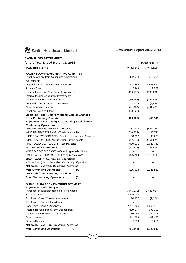

# **CASH FLOW STATEMENT**

| <u>UAJN FLUW JIAI EMENI</u><br>for the Year Ended March 31, 2013 |             | (Amount in Rs.) |
|------------------------------------------------------------------|-------------|-----------------|
| <b>PARTICULARS</b>                                               | 2012-2013   | 2011-2012       |
| <b>A CASH FLOW FROM OPERATING ACTIVITIES</b>                     |             |                 |
| Profit before tax from Continuing Operations                     | 112,644     | 215,384         |
| Adjustments                                                      |             |                 |
| Depreciation and amortisation expense                            | 1,717,456   | 1,525,570       |
| <b>Finance Cost</b>                                              | 6,348       | 12,563          |
| Interest Income on Non Current Investments                       | (809, 177)  | (693,002)       |
| Interest Income on Current Investments                           |             |                 |
| Interest Income on Current Assets                                | (69, 165)   | (164, 995)      |
| Dividend on Non Current Investments                              | (3,510)     | (9,686)         |
| Other Operating Income                                           | (341, 993)  | (442, 493)      |
| Profit on Sales of Office                                        | (1,973,328) |                 |
| <b>Operating Profit Before Working Capital Changes</b>           |             |                 |
| from Continuing Operation                                        | (1,360,725) | 443,341         |
| Adjustments For Changes In Working Capital from                  |             |                 |
| <b>Continuing Operations:</b>                                    |             |                 |
| - (INCREASE)/DECREASE in Inventories                             | 751,938     | (534, 149)      |
| - (INCREASE)/DECREASE in Trade receivables                       | (710, 734)  | 1,417,711       |
| - (INCREASE)/DECREASE in Short-term Loans and Advances           | 198,837     | 85,203          |
| - (INCREASE)/DECREASE in Other Current Assets                    | (17, 345)   | (161, 871)      |
| - INCREASE/(DECREASE) in Trade Payables                          | 980,101     | 2,029,741       |
| - INCREASE/(DECREASE) in DTA                                     | (32, 258)   | (33, 964)       |
| - INCREASE/(DECREASE) in Other long-term liabilities             |             |                 |
| - INCREASE/(DECREASE) in Short-term provisions                   | 325,760     | (1,100,200)     |
| Cash (Used in) Continuing Operations                             |             |                 |
| - Taxes Paid (Net of Refunds) - Continuing Operation             |             |                 |
| Net Cash Flow from Operating Activities                          |             |                 |
| from Continuing Operations<br>(A)                                | 135,574     | 2,145,812       |
| <b>Net Cash from Operating Activities</b>                        |             |                 |
| from Discontinuing Operations<br>(B)                             |             |                 |
| <b>B. CASH FLOW FROM INVESTING ACTIVITIES</b>                    |             |                 |
| Adjustments for changes in :                                     |             |                 |
| Purchase of Tangible/Intangible Fixed Assets                     | (6,946,370) | (1,446,084)     |
| Sales of office                                                  | 2,205,000   |                 |
| Purchase of Non Current Investment:                              | 14,857      | (1,206)         |
| Purchase of Current Investment:                                  |             |                 |
| Long Term Loans & Advances                                       | 2,751,226   | 1,260,163       |
| Interest Received from Term Deposit Bank                         | 809,177     | 693,002         |
| Interest Income from Current Assets                              | 69,185      | 164,995         |
| Other Income                                                     | 341,993     | 442,493         |
| Dividend Income                                                  | 3,510       | 9,686           |
| Net Cash Flow From Investing Activities                          |             |                 |
| from Continuing Operations<br>(C)                                | (751, 442)  | 1,123,049       |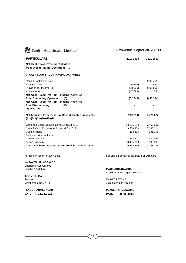| <b>PARTICULARS</b>                                                               | 2012-2013  | 2011-2012  |
|----------------------------------------------------------------------------------|------------|------------|
| <b>Net Cash Flow Investing Activities</b>                                        |            |            |
| from Discontinuing Operations (D)                                                |            |            |
| <b>C. CASH FLOW FROM FINACING ACTIVITIES</b>                                     |            |            |
| Repaid Bank Over Draft                                                           |            | (382, 415) |
| <b>Finance Costs</b>                                                             | (6,348)    | (12, 563)  |
| Provision for Income Tax                                                         | (58,000)   | (105,000)  |
| Adjustments                                                                      | (17, 698)  | 1,794      |
| Net Cash (used in)/From Finacing Activities                                      |            |            |
| from Continuing Operation<br>(E)                                                 | (82, 046)  | (498, 184) |
| Net Cash (used in)/From Finacing Activities                                      |            |            |
| from Discontinuing<br>(F)                                                        |            |            |
| <b>Operations</b>                                                                |            |            |
| Net Increase /(Decrease) in Cash & Cash Equivalents<br>$(A)+(B)+(C)+(D)+(E)+(F)$ | (697, 914) | 2,770,677  |
| Cash and Cash Equivalents As At 31.03.2012                                       | 10,236,214 | 7,465,537  |
| Cash & Cash Equivalents As At. 31.03.2013                                        | 9,538,300  | 10,236,214 |
| Cash on Hand                                                                     | 114,690    | 385,393    |
| Balances with banks on                                                           |            |            |
| Current account                                                                  | 968,221    | 944,923    |
| deposit account                                                                  | 8,455,389  | 8,905,898  |
| Cash and bank balance as reported in balance sheet                               | 9,538,300  | 10,236,214 |

**for JAYESH R. MOR & CO.** Chartered Accountants Firm No.122056W **MAHENDRA RAYCHA**

**Jayesh R. Mor** Proprietor<br>
Membership No.37941<br>
Membership No.37941

**DATE : 25.05.2013 DATE : 25.05.2013**

As per our report of even date For and on behalf of the Board of Directors

Chairman & Managing Director

Joint Managing Director

**PLACE : AHMEDABAD PLACE : AHMEDABAD**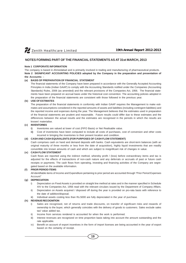# **NOTES FORMING PART OF THE FINANCIAL STATEMENTS AS AT 31st MARCH, 2013**

# **Note 1 CORPORATE INFORMATION**

The company is based in Ahmedabad and is primarily involved in trading and manufacturing of pharmaceutical products. **Note 2 SIGNIFICANT ACCOUNTING POLICIES adopted by the Company in the preparation and presentation of the Accounts: -**

# **(a) BASIS OF PREPARATION OF FINANCIAL STATEMENT**

The financial statements of the Company have been prepared in accordance with the Generally Accepted Accounting Principles in India (Indian GAAP) to comply with the Accounting Standards notified under the Companies (Accounting Standards) Rules, 2006 (as amended) and the relevant provisions of the Companies Act, 1956. The financial statements have been prepared on accrual basis under the historical cost convention. The accounting policies adopted in the preparation of the financial statements are consistent with those followed in the previous year.

# **(b) USE OF ESTIMATES**

The preparation of the financial statements in conformity with Indian GAAP requires the Management to make estimates and assumptions considered in the reported amounts of assets and liabilities (including contingent liabilities) and the reported income and expenses during the year. The Management believes that the estimates used in preparation of the financial statements are prudent and reasonable. Future results could differ due to these estimates and the differences between the actual results and the estimates are recognised in the periods in which the results are known/ materialise.

# **(c) INVENTORIES**

- **i)** Inventories are valued at lower of cost (FIFO Basis) or Net Realisable value.
- **ii)** Cost of inventories have been computed to include all costs of purchases, cost of conversion and other costs incurred in bringing the inventories to their present location and condition.

# **(d) CASH AND CASH EQUIVALENTS (FOR PURPOSES OF CASH FLOW STATEMENT)**

Cash comprises cash on hand and demand deposits with banks. Cash equivalents are short-term balances (with an original maturity of three months or less from the date of acquisition), highly liquid investments that are readily convertible into known amounts of cash and which are subject to insignificant risk of changes in value.

# **(e) CASH FLOW STATEMENT**

Cash flows are reported using the indirect method, whereby profit / (loss) before extraordinary items and tax is adjusted for the effects of transactions of non-cash nature and any deferrals or accruals of past or future cash receipts or payments. The cash flows from operating, investing and financing activities of the Company are segregated based on the available information.

# **(f) PRIOR PERIOD ITEMS**

All identifiable items of Income and Expenditure pertaining to prior period are accounted through "Prior Period Expenses Account"

# **(g) DEPRECIATION**

- i) Depreciation on Fixed Assets is provided on straight line method at rates and in the manner specified in Schedule XIV to the Companies Act, 1956 read with the relevant circulars issued by the Department of Company Affairs.
- ii) Depreciation on Assets acquired / disposed off during the year is provided on pro-rata basis with reference to the date of addition/disposal.
- iii) Individual assets costing less than Rs.5000 are fully depreciated in the year of purchase.

# **(h) REVENUE RECOGNITION**

- i) Sales are recognised, net of returns and trade discounts, on transfer of significant risks and rewards of ownership to the buyer, which generally coincides with the delivery of goods to customers. Sales exclude sales tax/ value added tax.
- ii) Income from services rendered is accounted for when the work is performed.
- iii) Interest revenues are recognized on time proportion basis taking into account the amount outstanding and the rate applicable.
- iv) Benefit on account of export incentives in the form of import licenses are being accounted in the year of export based on the certainty of receipt.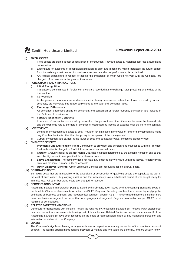# **(i) FIXED ASSETS**

- i) Fixed assets are stated at cost of acquisition or construction. They are stated at historical cost less accumulated depreciation.
- ii) Expenditure on accounts of modification/alteration in plant and machinery, which increases the future benefit from the existing asset beyond its previous assessed standard of performance, is capitalized.
- iii) Any capital expenditure in respect of assets, the ownership of which would not vest with the Company, are charged off to revenue in the year of incurrence.

# **(j) FOREIGN CURRENCY TRANSACTIONS**

# i) **Initial Recognition**

Transactions denominated in foreign currencies are recorded at the exchange rates prevailing on the date of the transaction.

# ii) **Conversion**

At the year-end, monetary items denominated in foreign currencies, other than those covered by forward contracts, are converted into rupee equivalents at the year end exchange rates.

# iii) **Exchange Differences**

All exchange differences arising on settlement and conversion of foreign currency transaction are included in the Profit and Loss Account.

# iv) **Forward Exchange Contracts**

In respect of transactions covered by forward exchange contracts, the difference between the forward rate and the exchange rate at the date of contract is recognised as income or expense over the life of the contract.

# **(k) INVESTMENTS**

- i) Long-term Investments are stated at cost. Provision for diminution in the value of long-term Investments is made only if such a decline is other than temporary in the opinion of the management.
- ii) Current investment are carried at the lower of cost and quoted/fair value, computed category wise.

# **(l) EMPLOYEE BENEFITS**

- i) **Provident Fund and Pension Fund:** Contribution to provident and pension fund maintained with the Provident fund authorities is charged to Profit & Loss account on accrual basis.
- ii) **Gratuity:** Gratuity liability as on 31st March, 2013 has not been determined by the actuarial valuation and so that such liability has not been provided for in these accounts.
- iii) **Leave Encashment:** The company does not have any policy to carry forward unutilised leaves. Accordingly no provision for same is made in these accounts.
- iv) **Other Employee Benefits:** Other Employee Benefits are accounted for on accrual basis.

# **(m) BORROWING COSTS**

Borrowing costs that are attributable to the acquisition or construction of qualifying assets are capitalized as part of the cost of such assets. A qualifying asset is one that necessarily takes substantial period of time to get ready for intended use. All other borrowing costs are charged to revenue.

# **(n) SEGMENT ACCOUNTING**

Accounting Standard Interpretation (ASI) 20 Dated 14th February, 2004 issued by the Accounting Standards Board of the Institute Chartered Accountants of India, on AS 17, Segment Reporting clarifies that in case, by applying the definitions of "business segment" and "geographical segment" given in AS 17, it is concluded that there is neither more than one business segment nor more than one geographical segment. Segment information as per AS 17 is not required to be disclosed.

# **(o) RELATED PARTY TRANSACTIONS**

Disclosure of transactions with Related Parties, as required by Accounting Standard 18 "Related Party disclosures" has been set out in a separate note forming part of this schedule. Related Parties as defined under clause 3 of the Accounting Standard 18 have been identified on the basis of representation made by key managerial personnel and information available with the Company.

# **(p) LEASES**

The Company's significant leasing arrangements are in respect of operating leases for office premises, stores & godown. The leasing arrangements ranging between 11 months and five years are generally, and are usually renew-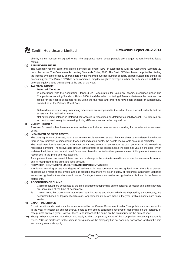able by mutual consent on agreed terms. The aggregate lease rentals payable are charged as rent including lease rentals.

# **(q) EARNING PER SHARE**

The Company reports basic and diluted earnings per share (EPS) in accordance with the Accounting Standard 20 prescribed under The Companies Accounting Standards Rules, 2006. The Basic EPS has been computed by dividing the income available to equity shareholders by the weighted average number of equity shares outstanding during the accounting year. The Diluted EPS has been computed using the weighted average number of equity shares and dilutive potential equity shares outstanding at the end of the year.

# **(r) TAXES ON INCOME**

# **i) Deferred Taxation**

In accordance with the Accounting Standard 22 – Accounting for Taxes on Income, prescribed under The Companies Accounting Standards Rules, 2006, the deferred tax for timing differences between the book and tax profits for the year is accounted for by using the tax rates and laws that have been enacted or substantively enacted as of the Balance Sheet Date.

Deferred tax assets arising from timing differences are recognised to the extent there is virtual certainty that the assets can be realised in future.

Net outstanding balance in Deferred Tax account is recognized as deferred tax liability/asset. The deferred tax account is used solely for reversing timing difference as and when crystallized.

# **ii) Current Taxation**

Provision for taxation has been made in accordance with the income tax laws prevailing for the relevant assessment years.

# **(s) IMPAIRMENT OF FIXED ASSETS**

The carrying amount of assets, other than inventories, is reviewed at each balance sheet date to determine whether there is any indication of impairment. If any such indication exists, the assets recoverable amount is estimated.

The impairment loss is recognized whenever the carrying amount of an asset or its cash generation unit exceeds its recoverable amount. The recoverable amount is the greater of the asset's net selling price and value in the uses, which is determined, based on the estimated future cash flow discounted to their present values. All impairment losses are recognized in the profit and loss account.

An impairment loss is reversed if there has been a change in the estimates used to determine the recoverable amount and is recognized in the profit and loss account.

# **(t) PROVISION, CONTINGENT LIABILITIES AND CONTIGENT ASSETS**

Provisions involving substantial degree of estimation in measurements are recognised when there is a present obligation as a result of past events and it is probable that there will be an outflow of resources. Contingent Liabilities are not recognised but are disclosed in notes. Contingent assets are neither recognised nor disclosed in the financial statements.

# **(u) ACCOUNTING OF CLAIMS**

- Claims received are accounted at the time of lodgment depending on the certainty of receipt and claims payable are accounted at the time of acceptance.
- ii) Claims raised by Government authorities regarding taxes and duties, which are disputed by the Company, are accounted based on legality of each claim. Adjustments, if any, are made in the year in which disputes are finally settled.

# **(v) EXPORT INCENTIVES**

Export benefits under various scheme announced by the Central Government under Exim policies are accounted for in the year of receipt as against accrual basis to the extent considered receivable, depending on the certainty of receipt upto previous year. However there is no impact of the same on the profitability for the current year.

**(W)** Though other Accounting Standards also apply to the Company by virtue of the Companies Accounting Standards Rules, 2006, no disclosure for the same is being made as the Company has not done any transaction to which the said accounting standards apply.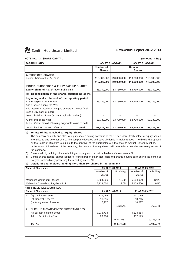

# **NOTE NO. : 3 SHARE CAPITAL (Amount in Rs.)**

| <b>PARTICULARS</b>                                                                                                                           |                            | AS AT 31-03-2013 | AS AT 31-03-2012           |             |
|----------------------------------------------------------------------------------------------------------------------------------------------|----------------------------|------------------|----------------------------|-------------|
|                                                                                                                                              | Number of<br><b>Shares</b> |                  | Number of<br><b>Shares</b> |             |
| <b>AUTHORISED SHARES</b><br>Equity Shares of Re. 1/- each                                                                                    | 110,000,000                | 110,000,000      | 110,000,000                | 110,000,000 |
|                                                                                                                                              | 110,000,000                | 110,000,000      | 110,000,000                | 110,000,000 |
| <b>ISSUED, SUBSCRIBED &amp; FULLY PAID-UP SHARES</b><br>Equity Share of Rs. 1/- each Fully paid                                              | 53,739,000                 | 53,739,000       | 53,739,000                 | 53,739,000  |
| (a) Reconciliation of the shares outstanding at the                                                                                          |                            |                  |                            |             |
| beginning and at the end of the reporting period<br>At the beginning of the Year<br>Add: Issued during the Year                              | 53,739,000                 | 53,739,000       | 53,739,000                 | 53,739,000  |
| Add: Issued on account of merger / Conversion / Bonus / Split<br>Less: Buy back of share<br>Less: Forfeited Share (amount orginally paid up) |                            |                  |                            |             |
| At the end of the Year                                                                                                                       | 53,739,000                 | 53,739,000       | 53,739,000                 | 53,739,000  |
| <b>Less:</b> Calls Unpaid (Showing aggregate value of calls                                                                                  |                            |                  |                            |             |
| unpaid by directors and officers)<br>Total                                                                                                   | 53,739,000                 | 53,739,000       | 53,739,000                 | 53,739,000  |

# **(b) Terms/ Rights attached to Equity Shares**

The company has only one class of equity shares having par value of Rs. 10 per share. Each holder of equity shares is entitled to one vote per share. The company declares and pays dividends in Indian rupees. The dividend proposed by the Board of Directors is subject to the approval of the shareholders in the ensuing Annual General Meeting. In the event of liquidation of the company, the holders of equity shares will be entitled to receive remaining assets of the company.

- **(C)** Shares held by holding/ ultimate holding company and/ or their subsidiaries/ associates NIL
- **(d)** Bonus shares issued, shares issued for consideration other than cash and shares bought back during the period of five years immediately preceding the reporting date – NIL

# **(e) Details of shareholders holding more than 5% shares in the company**

| Name of Shareholder                                             |                        | AS AT 31-03-2013 | AS AT 31-03-2012       |               |
|-----------------------------------------------------------------|------------------------|------------------|------------------------|---------------|
|                                                                 | % holding<br>Number of |                  | Number of              | % holding     |
|                                                                 | <b>Shares</b>          |                  | <b>Shares</b>          |               |
| Mahendra Chatrabhuj Raycha<br>Mahendra Chatrabhuj Raycha H.U.F. | 6,604,000<br>5,129,500 | 12.29<br>9.55    | 6.604.000<br>5.129.500 | 12.29<br>9.55 |

# **Note 4 RESERVES & SURPLUS Name of Shareholder AS AT 31-03-2013 AS AT 31-03-2012** 1 (a) Capital Reserve 137,089 137,089 137,089 (b) General Reserve 10,215 10,215 10,215 (c) Amalgmation Reserve 16,237 16,237 16,237 16,237 163,541 163,541 2 SURPLUS IN STATEMENT OF PROFIT AND LOSS As per last balance sheet 9,236,733 9,124,554 Add : Profit for the Year 86,904 112,179 9,323,637 | 9,236,733 **TOTAL 9,487,178 9,400,274**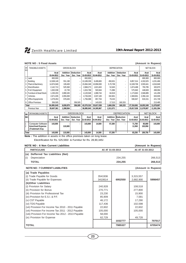# **NOTE NO : 5 Fixed Assets (Amount in Rupees)**

| <b>SR</b><br>lno | <b>TANGIBLE ASSETS</b><br><b>GROSS BLOCK</b> |                     |                       |                           | <b>DEPRECIATION</b>      |                     |                       |                               | <b>NET BLOCK</b>   |                    |                     |
|------------------|----------------------------------------------|---------------------|-----------------------|---------------------------|--------------------------|---------------------|-----------------------|-------------------------------|--------------------|--------------------|---------------------|
|                  |                                              | As at<br>01-04-2012 | Addition<br>Dur. Year | Deduction<br>Dur. Year    | Asat<br>31-03-2013       | As at<br>01-04-2012 | Addition<br>Dur. Year | <b>Deduction</b><br>Dur. Year | Asat<br>31-03-2013 | Asat<br>31-03-2013 | As at<br>31-03-2012 |
|                  | Land                                         | 800.900             |                       | $\overline{\phantom{0}}$  | 800,900                  |                     |                       |                               |                    | 800,900            | 800,900             |
|                  | Building                                     | 12,638,149          | 551,190               | $\qquad \qquad -$         | 13,189,339               | 8,406,683           | 450,631               | ٠                             | 8,857,314          | 4,332,025          | 4,231,466           |
|                  | Plant & Machinery                            | 14,974,949          | 109,400               | $\overline{\phantom{m}}$  | 15,084,349               | 10,958,000          | 5,70,708              | $\sim$                        | 11,528,708         | 3,555,641          | 4,016,949           |
| 4                | Electrification                              | 2,142,713           | 525,560               | $\overline{\phantom{m}}$  | 2,668,273                | 1,821,843           | 52,645                | $\sim$                        | 1,874,488          | 793,785            | 320,870             |
| 5                | R & D Equipment                              | 1,002,038           | 22,730                | $\overline{\phantom{m}}$  | 1,024,768                | 503,944             | 71,996                |                               | 575,940            | 448,828            | 498,094             |
| 6                | Furniture & Dead Stock                       | 1,230,203           | 2,890,345             | $\overline{\phantom{m}}$  | 4,120,548                | 1,088,744           | 84,919                | $\sim$                        | 1,173,663          | 2,946,885          | 141,459             |
|                  | Vehicles                                     | 2,671,035           | 2,055,000             | $\qquad \qquad -$         | 4,726,035                | 2,037,100           | 332,801               | ٠                             | 2,369,901          | 2,356,134          | 633,935             |
| 8                | Office Equipments                            | 1,079,453           | 676,645               | $\qquad \qquad -$         | 1,756,098                | 857,704             | 79,243                |                               | 936,947            | 819,151            | 221,749             |
| 9                | <b>Office Premises</b>                       | 356,505             |                       | 356,505                   | $\overline{\phantom{0}}$ | 143,020             | 17,313                | 160,333                       |                    |                    | 213,485             |
|                  | <b>Total</b>                                 | 36,895,945          | 6,830,870             | 356,505                   | 43,370,310               | 25,817,038          | 1,660,256             | 160,333                       | 27,316,961         | 16,053,349         | 11,078,907          |
|                  | Previous Year                                | 35,607,361          | 1,288,584             |                           | 36,895,945               | 24,305,967          | 1,511,071             |                               | 25,817,038         | 11,078,907         | 11,301,394          |
|                  | <b>INTANGIBLE ASSETS</b>                     |                     |                       | <b>GROSS BLOCK</b>        |                          |                     |                       | <b>DEPRECIATION</b>           |                    |                    | <b>NET BLOCK</b>    |
| lsr.             |                                              |                     |                       |                           |                          |                     |                       |                               |                    |                    |                     |
| Ino.l            |                                              | Asat                |                       | <b>Addition Deduction</b> | Asat                     | Asat                | Addition              | <b>IDeduction</b>             | As at              | Asat               | Asat                |
|                  |                                              | 01-04-2012          | Dur. Year             | Dur. Year                 | 31-03-2013               | 01-04-2012          | Dur. Year             | Dur. Year                     | 31-03-2013         | 31-03-2013         | 31-03-2012          |
|                  | <b>Computer Software</b>                     | 143,000             |                       |                           | 143,000                  | 14,500              | 57,200                |                               | 71,700             | 85,800             | 143,000             |
|                  | <b>Amortised Expense</b>                     |                     | 115,500               |                           |                          |                     |                       |                               | 11,550             | 103,950            |                     |
|                  | (Trademark Exp.                              |                     |                       |                           |                          |                     |                       |                               |                    |                    |                     |
|                  | Total                                        | 143,000             | 115,500               |                           | 143,000                  | 14,500              | 57,200                |                               | 83,250             | 189,750            | 143,000             |

**Note :** The addition in assets in the office premises taken on long lease.

Electrification for Rs. 525,560/- & Furnitiur for Rs. 28,90,345/-

# **NOTE NO : 6 Non Current Liabilities (Amount in Rupees)**

| <b>PARTICULARS</b>                                  |         | AS AT 31-03-2013 | AS AT 31-03-2012 |                    |
|-----------------------------------------------------|---------|------------------|------------------|--------------------|
| Defferred Tax Liabilities (Net)<br> (a)             |         |                  |                  |                    |
| (i)<br>Depreciation                                 |         | 234,255          |                  | 266,513            |
| <b>TOTAL</b>                                        |         | 234,255          |                  | 266,513            |
| <b>NOTE NO: 7 CURRENT LIABILITIES</b>               |         |                  |                  | (Amount in Rupees) |
| (a) Trade Payables                                  |         |                  |                  |                    |
| (i) Trade Payable for Goods                         | 3541936 |                  | 3,315,557        |                    |
| (ii) Trade Payable for Expenses                     | 3410614 | 6952550          | 2,682,900        | 5998457            |
| (b)Other Liabilities                                |         |                  |                  |                    |
| (i) Provision for Salary                            | 240,928 |                  | 108,518          |                    |
| (ii) Provision for Bonus                            | 270,771 |                  | 277,800          |                    |
| (iii) Provision for Professional Tax                | 23,230  |                  | 15,900           |                    |
| (iv) Provision for E.S.I. & P.F.                    | 85,909  |                  | 7,581            |                    |
| (v) CST Payable                                     | 46,172  |                  | 17,290           |                    |
| (vi) TDS Payable                                    | 117,436 |                  | 102,598          |                    |
| (vii) Provision For Income Tax 2010 - 2011 Payable  | 22,602  |                  | 22,602           |                    |
| (vii) Provision For Income Tax 2011 - 2012 Payable  | 105,000 |                  | 105,000          |                    |
| (viii) Provision For Income Tax 2012 - 2013 Payable | 58,000  |                  |                  |                    |
| (ix) Provision for Expense                          | 62,729  |                  | 49,728           |                    |
|                                                     |         | 1032777          |                  | 707017             |
| <b>TOTAL</b>                                        |         | 7985327          |                  | 6705474            |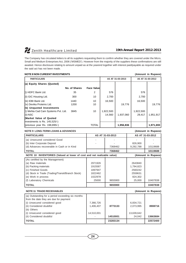The Company has circulated letters to all its suppliers requesting them to confirm whether they are covered under the Micro, Small and Medium Enterprises Act, 2006 ('MSMED'). However from the majority of the suppliers these confirmations are still awaited. Hence disclosure relating to amount unpaid as at the yearend together with interest paid/payable as required under the said act has not been made.

| <b>NOTE 8 NON CUREENT INVESTMENTS</b> |                  |                    |                  |           |           | (Amount in Rupees) |
|---------------------------------------|------------------|--------------------|------------------|-----------|-----------|--------------------|
| <b>PARTICULARS</b>                    | AS AT 31-03-2013 |                    | AS AT 31-03-2012 |           |           |                    |
| (a) Equity Shares (Quoted)            |                  |                    |                  |           |           |                    |
|                                       | No. of Shares    | <b>Face Valuel</b> |                  |           |           |                    |
| (i) HDFC Bank Ltd.                    | 35               | 2                  | 576              |           | 576       |                    |
| (ii) GIC Housing Ltd.                 | 300              | 10                 | 2,700            |           | 2,700     |                    |
| (iii) IDBI Bank Ltd.                  | 1440             | 10                 | 16,500           |           | 16,500    |                    |
| (iv) Devika Proteins Ltd.             | 1200             | 10                 |                  | 19.776    |           | 19,776             |
| (b) Unguoted Investments              |                  |                    |                  |           |           |                    |
| (i) Mehta Cad Cam Systems Pvt. Ltd.   | 3845             | 10                 | 1,922,500        |           | 1,922,500 |                    |
| (ii) NSC                              |                  |                    | 14.560           | 1,937,060 | 29.417    | 1,951,917          |
| Market Value of Quoted                |                  |                    |                  |           |           |                    |
| Investments is Rs. $145,525/$         |                  |                    |                  |           |           |                    |
| (previous year Rs. 198,895/-)         |                  | <b>TOTAL</b>       |                  | 1,956,836 |           | 1,971,693          |

| <b>NOTE 9 LONG-TERM LOANS &amp; ADVANCES</b>                           |         |                  |           | (Amount in Rupees) |
|------------------------------------------------------------------------|---------|------------------|-----------|--------------------|
| <b>PARTICULARS</b>                                                     |         | AS AT 31-03-2013 |           | AS AT 31-03-2012   |
| (a) Unsecured considered Good                                          |         |                  |           |                    |
| (b) Inter Corporate Deposit                                            |         |                  | 826,900   |                    |
| (d) Advances recoverable in Cash or in Kind                            |         | 7368462          | 9,292,788 | 10119688           |
| <b>TOTAL</b>                                                           |         | 7368462          |           | 10119688           |
| NOTE 10 INVENTORIES (Valued at lower of cost and net realizable value) |         |                  |           | (Amount in Rupees) |
| (As certified by the Management)                                       |         |                  |           |                    |
| (a) Raw materials                                                      | 2971926 |                  | 2643840   |                    |
| (b) Packing materials                                                  | 1915587 |                  | 1,794,823 |                    |
| (c) Finished Goods                                                     | 1897947 |                  | 2560242   |                    |
| (d) Stock in Trade (Trading/Transit/Branch Stock)                      | 1822462 |                  | 2559631   |                    |
| (e) Work in process                                                    | 1022978 |                  | 824,302   |                    |
| (f) Laboratory Chemicals                                               | 25000   | 9655900          | 25,000    | 10407838           |
| <b>TOTAL</b>                                                           |         | 9655900          |           | 10407838           |
| <b>NOTE 11 TRADE RECEIVABLES</b>                                       |         |                  |           | (Amount in Rupees) |

| (a) Outstanding for a period exceeding six months |            |          |            |          |
|---------------------------------------------------|------------|----------|------------|----------|
| from the date they are due for payment            |            |          |            |          |
| (i) Unsecured considered good                     | 7,366,726  |          | 6,834,721  |          |
| (ii) Considered doubtful                          | 1,406,407  | 8773133  | 2,073,995  | 8908716  |
| (b) Others                                        |            |          |            |          |
| (i) Unsecured considered good                     | 14,510,001 |          | 13,639,642 |          |
| (ii) Considered doubtful                          |            | 14510001 | 24.042     | 13663684 |
| <b>TOTAL</b>                                      |            | 23283134 |            | 22572400 |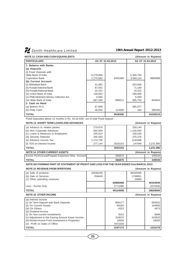# **NOTE 12 CASH AND CASH EQUIVALENTS (Amount in Rupees)**

| 1101 - 12 OAOITAND OAOITE 301 VALLINTO  |           |                  |                  |          |
|-----------------------------------------|-----------|------------------|------------------|----------|
| <b>PARTICULARS</b>                      |           | AS AT 31-03-2013 | AS AT 31-03-2012 |          |
| 1. Balance with Banks                   |           |                  |                  |          |
| (a) Deposits                            |           |                  |                  |          |
| (i) Fixed Deposits with                 |           |                  |                  |          |
| State Bank of India                     | 6,279,806 |                  | 5,345,784        |          |
| <b>Coporation Bank</b>                  | 2,175,583 | 8455389          | 3,560,114        | 8905898  |
| (b) Current Account                     |           |                  |                  |          |
| (i) Allahabad Bank                      | 31,982    |                  | 263,606          |          |
| (ii) Punjab National Bank               | 87,052    |                  | 71,169           |          |
| (iii) Punjab National Bank              | 10.331    |                  | 10.331           |          |
| (iv) Union Bank of India                | 146,652   |                  | 289,066          |          |
| (v) PNB Allotment Money collection A/c. | 5,000     |                  | 5,000            |          |
| (vi) State Bank of India                | 687,204   | 968221           | 305,752          | 944924   |
| 2. Cash on Hand                         |           |                  |                  |          |
| (a) Branch $/H.O.$                      | 67,858    |                  | 385,077          |          |
| (b) Petty Cash                          | 46,832    | 114690           | 316              | 385393   |
| <b>TOTAL</b>                            |           | 9538300          |                  | 10236215 |

Fixed Deposites above 12 months is Rs. 43,16,426/- out of total Fixed Deposit

| <b>NOTE 13 SHORT TERM LOANS AND ADVANCES</b>              |           |         |           | (Amount in Rupees) |  |
|-----------------------------------------------------------|-----------|---------|-----------|--------------------|--|
| (a) Advancs to related parties                            | 279,876   |         | 259,144   |                    |  |
| (b) Non Corporate Advances                                | 650,000   |         | 1,150,000 |                    |  |
| (c) Loans & Advances to Employees                         | 205,814   |         | 158,026   |                    |  |
| (d) Security Deposits                                     | 345,593   |         | 376,376   |                    |  |
| (e) Advance Income Tax                                    | 1,274,726 |         | 1140496   |                    |  |
| (f) TDS on Interest Income                                | 277.144   | 3033153 | 147948    | 3,231,990          |  |
| <b>TOTAL</b>                                              |           | 3033153 |           | 3,231,990          |  |
| <b>NOTE 14 OTHER CURRENT ASSETS</b><br>(Amount in Rupees) |           |         |           |                    |  |
| Excise PLA/Cenvat/Prepaid Expenses/ Misc. Account         |           | 366875  |           | 349530             |  |
| <b>TOTAL</b>                                              |           | 366875  |           | 349530             |  |

# **NOTE NO FORMING PART OF STATEMENT OF PROFIT AND LOSS FOR THE YEAR ENDED 31st MARCH, 2013 NOTE 15 REVENUE FROM OPERTIONS (Amount in Rupees)**

| (a) Sale of products                              | 42630439 |          | 38344595 |                    |
|---------------------------------------------------|----------|----------|----------|--------------------|
| (b) Sale of Services                              | 254649   |          | 1748951  |                    |
| (c) Other operating revenues                      |          |          | 10994    |                    |
|                                                   |          | 42885088 |          | 40104540           |
| Less: Excise Duty                                 |          | 2771080  |          | 2075540            |
| l TOTAL                                           |          | 40114008 |          | 38029000           |
| <b>NOTE 16 OTHER INCOME</b>                       |          |          |          | (Amount in Rupees) |
| (a) Interest Income                               |          |          |          |                    |
| (i) On Term Deposit with Bank Deposits            |          | 809177   |          | 693002             |
| (ii) On Current Assets                            |          | 69165    |          | 164995             |
| (iii) On Others                                   |          | 4323     |          | 4973               |
| (b) Dividend Income                               |          |          |          |                    |
| (i) On Non-current Investments                    |          | 3510     |          | 9686               |
| (c) Adjustment to the Carring Amount Kasar Income |          | 319670   |          | 419520             |
| (d) Rental Income From Investment in Properties   |          | 18000    |          | 18000              |
| (e) Profit on Sales of Office                     |          | 1973328  |          |                    |
| <b>TOTAL</b>                                      |          | 3197173  |          | 1310176            |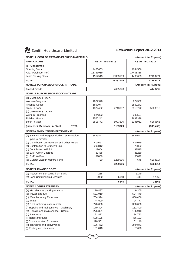| <b>NOTE 17 COST OF RAW AND PACKING MATERIALS</b> |          |                  |          | (Amount in Rupees) |
|--------------------------------------------------|----------|------------------|----------|--------------------|
| <b>PARTICULARS</b>                               |          | AS AT 31-03-2013 |          | AS AT 31-03-2012   |
| (a) Consumed                                     |          |                  |          |                    |
| <b>Opening Stock</b>                             | 4463663  |                  | 4244566  |                    |
| Add: Purchase (Net)                              | 18781959 |                  | 17408368 |                    |
| Less: Closing Stock                              | 4912513  | 18333109         | 4463663  | 17189271           |
| <b>TOTAL</b>                                     |          | 18333109         |          | 17189271           |
| <b>NOTE 18 PURCHASE OF STOCK-IN-TRADE</b>        |          |                  |          | (Amount in Rupees) |
| <b>Traded Goods</b>                              |          | 4625973          |          | 4449497            |
| <b>NOTE 19 PURCHASE OF STOCK-IN-TRADE</b>        |          |                  |          |                    |
| (a) CLOSING STOCK                                |          |                  |          |                    |
| Work-in-Progress                                 | 1022978  |                  | 824302   |                    |
| <b>Finished Goods</b>                            | 1897947  |                  | 2560242  |                    |
| Stock-in-trade                                   | 1822462  | 4743387          | 2518772  | 5903316            |
| (b) OPENING STOCKS:                              |          |                  |          |                    |
| Work-in-Progress                                 | 824302   |                  | 388527   |                    |
| <b>Finished Goods</b>                            | 2560242  |                  | 2692378  |                    |
| Stock-in-trade                                   | 2518772  | 5903316          | 2185961  | 5266866            |
| <b>TOTAL</b><br>(Increase)/ Decrease in Stock    |          | 1159929          |          | (636, 450)         |
| <b>NOTE 20 EMPOLYEE BENEFIT EXPENSE</b>          |          |                  |          | (Amount in Rupees) |
| (a) Salaries and Wages/Including remuneration    | 5429427  |                  | 5531642  |                    |
| paid to Director                                 |          |                  |          |                    |
| (b) Contribution on Provident and Other Funds    | 414627   |                  | 404079   |                    |
| (c) Contribution to Gratuity Fund                | 206812   |                  | 75822    |                    |
| (d) Contribution to E.S.I.                       | 119054   |                  | 97515    |                    |
| (e) E.P.F Admin Charges                          | 37488    |                  | 36259    |                    |
| (f) Staff Welfare                                | 81868    |                  | 58822    |                    |
| (g) Gujarat Labour Welfare Fund                  | 720      | 6289996          | 675      | 6204814            |
| <b>TOTAL</b>                                     |          | 6289996          |          | 6204814            |
| <b>NOTE 21 FINANCE COST</b>                      |          |                  |          | (Amount in Rupees) |
| (a) Interest on Borrowing from Bank              | 288      |                  | 3149     |                    |
| (d) Bank Commission & Charges                    | 6060     | 6348             | 9414     | 12563              |
| <b>TOTAL</b>                                     |          | 6348             |          | 12563              |
| <b>NOTE 22 OTHER EXPENSES</b>                    |          |                  |          | (Amount in Rupees) |
| (a) Miscellenous packing material                | 20,487   |                  | 9,365    |                    |
| (b) Power and fuel                               | 531,919  |                  | 504,479  |                    |
| (c) Manufacturing Expenses                       | 754,924  |                  | 886,406  |                    |
| (d) Water                                        | 44,600   |                  | 24,777   |                    |
| (e) Rent including lease rentals                 | 770,000  |                  | 300,000  |                    |
| (f) Repairs and maintenance - Machinery          | 170,404  |                  | 161,490  |                    |
| (g) Repairs and maintenance - Others             | 276,391  |                  | 106,918  |                    |
| (h) Insurance                                    | 121,822  |                  | 134,793  |                    |
| (i) Rates and taxes                              | 508,125  |                  | 456,133  |                    |
| (j) Communication Expenses                       | 118,561  |                  | 101,140  |                    |
| (k) Travelling and conveyance                    | 196,452  |                  | 249,871  |                    |
| (I) Printing and stationery                      | 131,018  |                  | 87,698   |                    |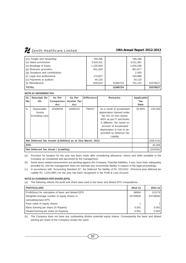| (m) Freight and forwarding      | 790,286   |          | 786,288   |          |
|---------------------------------|-----------|----------|-----------|----------|
| (n) Sales commission            | 3,616,311 |          | 3,011,381 |          |
| (o) Breakage & Expiry           | 1,135,829 |          | 1,694,288 |          |
| (p) Business promotion          | 831,829   |          | 861,877   |          |
| (q) Donations and contributions |           |          | 2,400     |          |
| (r) Legal and professional      | 173,827   |          | 193,888   |          |
| (s) Payments to auditors        | 44,120    |          | 44,120    |          |
| (t) Miscellanous                | 828.819   | 11065724 | 761.215   | 10378527 |
| <b>TOTAL</b>                    |           | 11065724 |           | 10378527 |

# **NOTE 23 DEFERRED TAX**

| Sr.<br>No. | Descripti On<br>On.                                                       | As Per<br><b>Companies</b><br>Act | As Per<br>Income Tax<br>Act | <b>Difference</b> | Remarks                                                                                                                                                                                                                                    | Applicable<br>Tax<br>Rate |          |
|------------|---------------------------------------------------------------------------|-----------------------------------|-----------------------------|-------------------|--------------------------------------------------------------------------------------------------------------------------------------------------------------------------------------------------------------------------------------------|---------------------------|----------|
| Α.         | Depreciable<br>Assets<br>Excluding Land                                   | 15338249                          | 14580142                    | 758107            | As a result of accelerated<br>depreciation claimed under<br>Tax Act on own assets<br>WDV as per IT and books<br>is different. Tax saved on<br>account of Accelerated<br>depreciation is now to be<br>provided as Deferred Tax<br>Liability | 30.90%                    | 234,255  |
|            | Net Deferred Tax Assets (Libilities) as at 31st March, 2013<br>(266, 513) |                                   |                             |                   |                                                                                                                                                                                                                                            |                           |          |
|            | <b>DTA</b>                                                                |                                   |                             |                   |                                                                                                                                                                                                                                            |                           | 32,258   |
|            | Net Deferred Tax Asset / (Liability)                                      |                                   |                             |                   |                                                                                                                                                                                                                                            |                           | (234255) |

(a) Provision for taxation for the year has been made after considering allowance, claims and relief available to the Company as considered and perceived by the management.

# **NOTE 24 EARNINGS PER SHARE (EPS)**

(a) The following reflects the profit and share data used in the basic and diluted EPS computations :

| <b>PARTICULARS</b>                                     | 2012-13  | 2011-12  |
|--------------------------------------------------------|----------|----------|
| Profit/(loss) for calculation of basic and diluted EPS |          | 112179   |
| Weighted average number of equity shares in            | 53739000 | 53739000 |
| calculating basic EPS                                  |          |          |
| Face value of equity shares                            |          |          |
| Basic Earning per share (In Rupees)                    | 0.001    | 0.002    |
| Diluted Earning per share (In Rupees)                  | 0.001    | 0.002    |

(b) The Company does not have any outstanding dilutive potential equity shares. Consequently the basic and diluted earning per share of the Company remain the same.

<sup>(</sup>b) Some taxes related assessments are pending against the Company. Potential liabilities, if any, have been adequately provided for, and the management does not estimate any incremental liability in respect of the legal proceedings.

<sup>(</sup>c) In accordance with "Accounting Standard 22", the Deferred Tax liability of Rs. 323,015/- (Previous year deferred tax Liablity Rs. 1,023,499/-) for the year has been recognised in the Profit & Loss Account.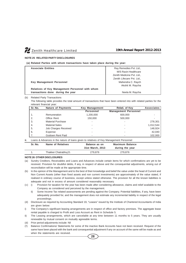

# **NOTE 25 RELATED PARTY DISCLOSURES**

**(a) Related Parties with whom transactions have taken place during the year:**

| <b>Associate Entities</b>                       | Ray Remedies Pvt. Ltd.,    |
|-------------------------------------------------|----------------------------|
|                                                 | M/S Raxin Healthcare       |
|                                                 | Zenith Medicine Pyt. Ltd   |
|                                                 | Zenith Lifecare Pvt. Ltd., |
| <b>Key Management Personnel</b>                 | Mahendra C. Raych          |
|                                                 | Akshit M. Raycha           |
| Relatives of Key Management Personnel with whom |                            |
| transactions done during the year               | Neela M. Raycha            |

(b) Related Party Transactions

The following table provides the total amount of transactions that have been entered into with related parties for the relevant financial year:

| Sr. No. | <b>Nature of Payments</b> | <b>Key Management</b> | Relati. of Key              | <b>Associates</b> |
|---------|---------------------------|-----------------------|-----------------------------|-------------------|
|         |                           | <b>Personnel</b>      | <b>Management Personnel</b> |                   |
| 1.      | Remuneration              | 1,200,000             | 600,000                     |                   |
| 2.      | Office Rent               | 150,000               | 500,000                     |                   |
| 3.      | <b>Material Purchase</b>  |                       | $\overline{\phantom{a}}$    | 278,301           |
| 4.      | <b>Material Sales</b>     |                       | ۰                           | 1,012,544         |
| 5.      | Job Charges Received      |                       |                             | 148,924           |
| 6.      | Expense                   |                       |                             | 42,040            |
|         | Godown Rent Paid          |                       |                             | 102,000           |

iii. Loans & Advances in the nature of loans given to relatives of Key Management Personnel

| Sr. No. | Name of Relatives     | Balance as on<br>31st March, 2013 | <b>Maximum Balance</b><br>during the year |
|---------|-----------------------|-----------------------------------|-------------------------------------------|
|         | Thakker Chatrabhuj D. | 279.876                           | 279.876                                   |

# **NOTE 26 OTHER DISCLOSURES**

- (a) Sundry Creditors, Receivables and Loans and Advances include certain items for which confirmations are yet to be received. Provision for doubtful debts, if any, in respect of above and the consequential adjustments, arising out of reconciliation will be made at the appropriate time.
- (b) In the opinion of the Management and to the best of their knowledge and belief the value under the head of Current and Non Current Assets (other than fixed assets and non current investments) are approximately of the value stated, if realised in ordinary course of business, except unless stated otherwise. The provision for all the known liabilities is adequate and not in excess of amount considered reasonably necessary.
- (c) i) Provision for taxation for the year has been made after considering allowance, claims and relief available to the Company as considered and perceived by the management.
	- ii) Some Income Tax related assessments are pending against the Company. Potential liabilities, if any, have been adequately provided for, and the management does not estimate any incremental liability in respect of the legal proceedings.
- (d) Disclosure as required by Accounting Standard 19, "Leases" issued by the Institute of Chartered Accountants of India are given below:
- i) The Company's significant leasing arrangements are in respect of office and factory premises. The aggregate lease rental payable is charged to Profit and Loss Account as Rent in Schedule 5.
- ii) The Leasing arrangements, which are cancelable at any time between 11 months to 5 years. They are usually renewable by mutual consent on mutually agreeable terms.
- (d) Prior period adjustments include: Nil
- Balance Confirmations/ Statements for some of the inactive Bank Accounts have not been received. Request of the same have been placed with the bank and consequential adjustment if any on account of the same will be made as and when the statements are received.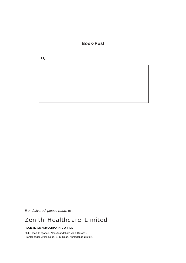**Book-Post**

**TO,**

If undelivered, please return to :

# *Zenith Healthcare Limited*

# **REGISTERED AND CORPORATE OFFICE**

504, Iscon Elegance, NearAnanddham Jain Derasar, Prahladnagar Cross Road, S. G. Road, Ahmedabad-380051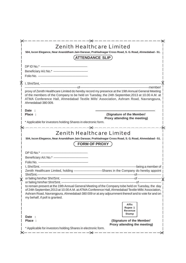|   | স্ক                                                                                                                                                                                                                                                                                                                                                                                        |
|---|--------------------------------------------------------------------------------------------------------------------------------------------------------------------------------------------------------------------------------------------------------------------------------------------------------------------------------------------------------------------------------------------|
|   | <b>Zenith Healthcare Limited</b><br>504, Iscon Elegance, Near Ananddham Jain Darasar, Prahladnagar Cross Road, S. G. Road, Ahmedabad - 51.<br>(ATTENDANCE SLIP)                                                                                                                                                                                                                            |
|   | $DP ID No.*$ $\longrightarrow$                                                                                                                                                                                                                                                                                                                                                             |
|   |                                                                                                                                                                                                                                                                                                                                                                                            |
|   | proxy of Zenith Healthcare Limited do hereby record my presence at the 19th Annual General Meeting<br>of the members of the Company to be held on Tuesday, the 24th September, 2013 at 10.00 A.M. at<br>ATMA Conference Hall, Ahmedabad Textile Mills' Association, Ashram Road, Navrangpura,<br>Ahmedabad-380009.                                                                         |
|   | Date:                                                                                                                                                                                                                                                                                                                                                                                      |
|   | (Signature of the Member/<br>Place:<br>Proxy attending the meeting)                                                                                                                                                                                                                                                                                                                        |
|   | * Applicable for investors holding Shares in electronic form.                                                                                                                                                                                                                                                                                                                              |
|   | $------$<br>-≽⊱                                                                                                                                                                                                                                                                                                                                                                            |
|   | 504, Iscon Elegance, Near Ananddham Jain Darasar, Prahladnagar Cross Road, S. G. Road, Ahmedabad - 51.<br><b>FORM OF PROXY</b><br>$DP ID No.*$ $\longrightarrow$                                                                                                                                                                                                                           |
|   |                                                                                                                                                                                                                                                                                                                                                                                            |
|   |                                                                                                                                                                                                                                                                                                                                                                                            |
|   | being a member of<br>Zenith Healthcare Limited, holding ——————————Shares in the Company do hereby appoint                                                                                                                                                                                                                                                                                  |
|   | Shri/Smt.-                                                                                                                                                                                                                                                                                                                                                                                 |
|   | იf ———                                                                                                                                                                                                                                                                                                                                                                                     |
| л | ѧ                                                                                                                                                                                                                                                                                                                                                                                          |
|   | or failing him/her Shri/Smt. -<br>-of –<br>to remain present at the 19th Annual General Meeting of the Company tobe held on Tuesday, the day<br>of 24th September, 2013 at 10.00 A.M. at ATMA Conference Hall, Ahmedabad Textile Mills' Association,<br>Ashram Road, Navrangpura, Ahmedabad-380 009 or at any adjournment thereof and to vote for and on<br>my behalf, if poll is granted. |
|   | <b>Affix</b><br>Rupee 1<br>Revenue                                                                                                                                                                                                                                                                                                                                                         |
|   | Stamp<br>Date :                                                                                                                                                                                                                                                                                                                                                                            |
|   | Place :<br>(Signature of the Member/                                                                                                                                                                                                                                                                                                                                                       |
|   | Proxy attending the meeting)<br>* Applicable for investors holding Shares in electronic form.                                                                                                                                                                                                                                                                                              |